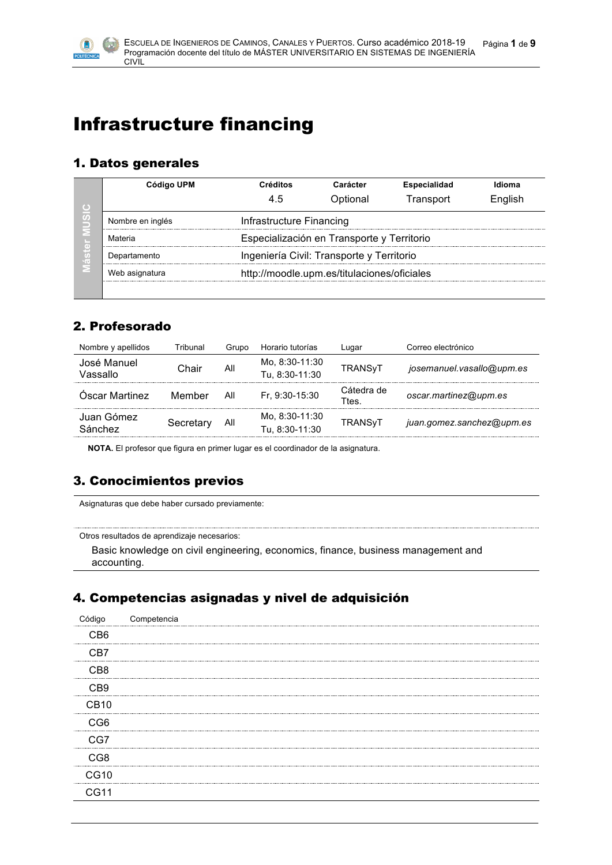

# Infrastructure financing

## 1. Datos generales

| Código UPM                                                    | Créditos                                  | Carácter                                   | <b>Especialidad</b> | Idioma  |  |  |  |
|---------------------------------------------------------------|-------------------------------------------|--------------------------------------------|---------------------|---------|--|--|--|
|                                                               | 4.5                                       | Optional                                   | Transport           | English |  |  |  |
| Nombre en inglés                                              |                                           | Infrastructure Financing                   |                     |         |  |  |  |
| Materia                                                       |                                           | Especialización en Transporte y Territorio |                     |         |  |  |  |
| Departamento                                                  | Ingeniería Civil: Transporte y Territorio |                                            |                     |         |  |  |  |
| http://moodle.upm.es/titulaciones/oficiales<br>Web asignatura |                                           |                                            |                     |         |  |  |  |
|                                                               |                                           |                                            |                     |         |  |  |  |

# 2. Profesorado

| Nombre y apellidos      | Tribunal  | Grupo | Horario tutorías                 | Lugar              | Correo electrónico        |
|-------------------------|-----------|-------|----------------------------------|--------------------|---------------------------|
| José Manuel<br>Vassallo | Chair     | All   | Mo. 8:30-11:30<br>Tu, 8:30-11:30 | <b>TRANSVT</b>     | josemanuel.vasallo@upm.es |
| Óscar Martinez          | Member    | All   | Fr. 9:30-15:30                   | Cátedra de<br>Ttes | oscar.martinez@upm.es     |
| Juan Gómez<br>Sánchez   | Secretary | All   | Mo. 8:30-11:30<br>Tu. 8:30-11:30 | <b>TRANSVT</b>     | juan.gomez.sanchez@upm.es |
|                         |           |       |                                  |                    |                           |

**NOTA.** El profesor que figura en primer lugar es el coordinador de la asignatura.

# 3. Conocimientos previos

Asignaturas que debe haber cursado previamente:

Otros resultados de aprendizaje necesarios:

Basic knowledge on civil engineering, economics, finance, business management and accounting.

## 4. Competencias asignadas y nivel de adquisición

| Código           | Competencia |  |
|------------------|-------------|--|
| C <sub>B6</sub>  |             |  |
| CB7              |             |  |
| C <sub>B</sub> 8 |             |  |
| C <sub>B</sub> 9 |             |  |
| CB <sub>10</sub> |             |  |
| CG <sub>6</sub>  |             |  |
| CG7              |             |  |
| CG <sub>8</sub>  |             |  |
| CG10             |             |  |
| CG11             |             |  |
|                  |             |  |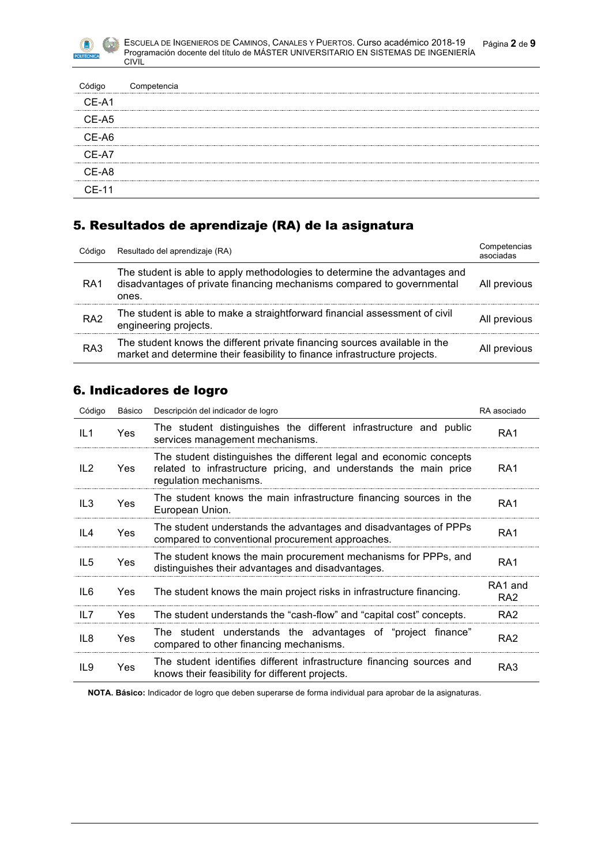| Código  | Competencia |
|---------|-------------|
| CE-A1   |             |
| CE-A5   |             |
| CE-A6   |             |
| CE-A7   |             |
| CE-A8   |             |
| $CE-11$ |             |

# 5. Resultados de aprendizaje (RA) de la asignatura

| Código          | Resultado del aprendizaje (RA)                                                                                                                                | Competencias<br>asociadas |
|-----------------|---------------------------------------------------------------------------------------------------------------------------------------------------------------|---------------------------|
| RA <sub>1</sub> | The student is able to apply methodologies to determine the advantages and<br>disadvantages of private financing mechanisms compared to governmental<br>ones. | All previous              |
| RA <sub>2</sub> | The student is able to make a straightforward financial assessment of civil<br>engineering projects.                                                          | All previous              |
| RA <sub>3</sub> | The student knows the different private financing sources available in the<br>market and determine their feasibility to finance infrastructure projects.      | All previous              |

## 6. Indicadores de logro

| Código          | Básico     | Descripción del indicador de logro                                                                                                                                 | RA asociado                |
|-----------------|------------|--------------------------------------------------------------------------------------------------------------------------------------------------------------------|----------------------------|
| IL1             | Yes        | The student distinguishes the different infrastructure and public<br>services management mechanisms.                                                               | RA <sub>1</sub>            |
| IL2             | <b>Yes</b> | The student distinguishes the different legal and economic concepts<br>related to infrastructure pricing, and understands the main price<br>regulation mechanisms. | RA <sub>1</sub>            |
| IL <sub>3</sub> | Yes        | The student knows the main infrastructure financing sources in the<br>European Union.                                                                              | RA <sub>1</sub>            |
| IL4             | Yes        | The student understands the advantages and disadvantages of PPPs<br>compared to conventional procurement approaches.                                               | RA <sub>1</sub>            |
| IL <sub>5</sub> | Yes        | The student knows the main procurement mechanisms for PPPs, and<br>distinguishes their advantages and disadvantages.                                               | RA <sub>1</sub>            |
| IL6             | Yes        | The student knows the main project risks in infrastructure financing.                                                                                              | RA1 and<br>RA <sub>2</sub> |
| IL7             | <b>Yes</b> | The student understands the "cash-flow" and "capital cost" concepts.                                                                                               | RA <sub>2</sub>            |
| IL8             | Yes        | The student understands the advantages of "project finance"<br>compared to other financing mechanisms.                                                             | RA <sub>2</sub>            |
| IL9             | Yes        | The student identifies different infrastructure financing sources and<br>knows their feasibility for different projects.                                           | RA3                        |

**NOTA. Básico:** Indicador de logro que deben superarse de forma individual para aprobar de la asignaturas.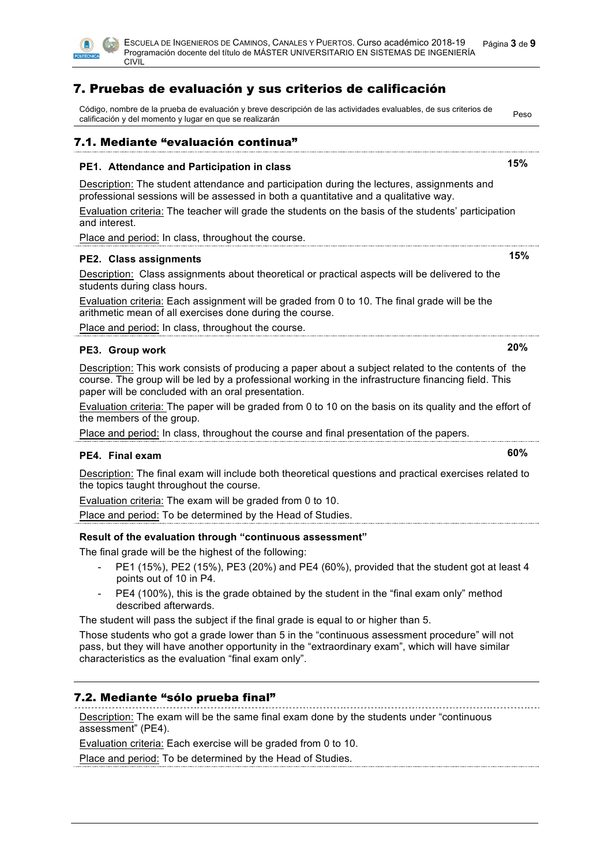

# 7. Pruebas de evaluación y sus criterios de calificación

| Código, nombre de la prueba de evaluación y breve descripción de las actividades evaluables, de sus criterios de<br>calificación y del momento y lugar en que se realizarán                                                                                                                | Peso |
|--------------------------------------------------------------------------------------------------------------------------------------------------------------------------------------------------------------------------------------------------------------------------------------------|------|
| 7.1. Mediante "evaluación continua"                                                                                                                                                                                                                                                        |      |
| 15%<br>PE1. Attendance and Participation in class                                                                                                                                                                                                                                          |      |
| Description: The student attendance and participation during the lectures, assignments and<br>professional sessions will be assessed in both a quantitative and a qualitative way.<br>Evaluation criteria: The teacher will grade the students on the basis of the students' participation |      |
| and interest.                                                                                                                                                                                                                                                                              |      |
| Place and period: In class, throughout the course.                                                                                                                                                                                                                                         |      |
| PE2. Class assignments                                                                                                                                                                                                                                                                     | 15%  |
| Description: Class assignments about theoretical or practical aspects will be delivered to the<br>students during class hours.                                                                                                                                                             |      |
| Evaluation criteria: Each assignment will be graded from 0 to 10. The final grade will be the<br>arithmetic mean of all exercises done during the course.                                                                                                                                  |      |
| Place and period: In class, throughout the course.                                                                                                                                                                                                                                         |      |
| 20%<br>PE3. Group work                                                                                                                                                                                                                                                                     |      |
| Description: This work consists of producing a paper about a subject related to the contents of the<br>course. The group will be led by a professional working in the infrastructure financing field. This<br>paper will be concluded with an oral presentation.                           |      |
| Evaluation criteria: The paper will be graded from 0 to 10 on the basis on its quality and the effort of<br>the members of the group.                                                                                                                                                      |      |
| Place and period: In class, throughout the course and final presentation of the papers.                                                                                                                                                                                                    |      |
| 60%<br>PE4. Final exam                                                                                                                                                                                                                                                                     |      |
| Description: The final exam will include both theoretical questions and practical exercises related to<br>the topics taught throughout the course.                                                                                                                                         |      |
| Evaluation criteria: The exam will be graded from 0 to 10.                                                                                                                                                                                                                                 |      |
| Place and period: To be determined by the Head of Studies.                                                                                                                                                                                                                                 |      |
| Result of the evaluation through "continuous assessment"                                                                                                                                                                                                                                   |      |
| The final grade will be the highest of the following:<br>PE1 (15%), PE2 (15%), PE3 (20%) and PE4 (60%), provided that the student got at least 4<br>points out of 10 in P4.                                                                                                                |      |
| PE4 (100%), this is the grade obtained by the student in the "final exam only" method<br>described afterwards.                                                                                                                                                                             |      |
| The student will pass the subject if the final grade is equal to or higher than 5.                                                                                                                                                                                                         |      |
| Those students who got a grade lower than 5 in the "continuous assessment procedure" will not<br>pass, but they will have another opportunity in the "extraordinary exam", which will have similar<br>characteristics as the evaluation "final exam only".                                 |      |
| 7.2. Mediante "sólo prueba final"                                                                                                                                                                                                                                                          |      |
| Description: The exam will be the same final exam done by the students under "continuous<br>assessment" (PE4).                                                                                                                                                                             |      |

Evaluation criteria: Each exercise will be graded from 0 to 10.

Place and period: To be determined by the Head of Studies.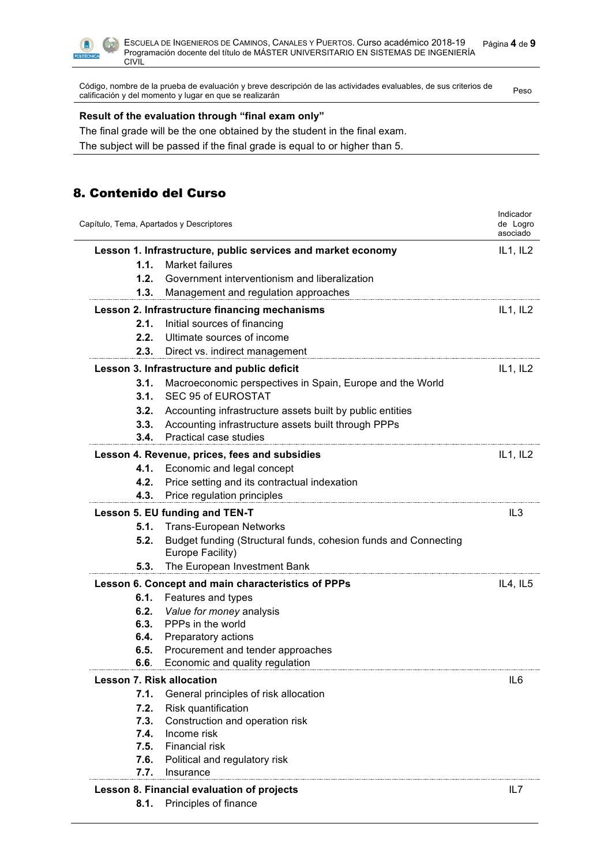

Código, nombre de la prueba de evaluación y breve descripción de las actividades evaluables, de sus criterios de Codigo, nombre de la prueba de evaluación y preve descripción de las actividades evaluables, de sus critemos de<br>Calificación y del momento y lugar en que se realizarán

### **Result of the evaluation through "final exam only"**

The final grade will be the one obtained by the student in the final exam.

The subject will be passed if the final grade is equal to or higher than 5.

## 8. Contenido del Curso

|                                  | Capítulo, Tema, Apartados y Descriptores                                            | Indicador<br>de Logro<br>asociado |
|----------------------------------|-------------------------------------------------------------------------------------|-----------------------------------|
|                                  | Lesson 1. Infrastructure, public services and market economy                        | IL1, IL2                          |
| 1.1.                             | <b>Market failures</b>                                                              |                                   |
| 1.2.                             | Government interventionism and liberalization                                       |                                   |
| 1.3.                             | Management and regulation approaches                                                |                                   |
|                                  | Lesson 2. Infrastructure financing mechanisms                                       | IL1, IL2                          |
| 2.1.                             | Initial sources of financing                                                        |                                   |
| 2.2.                             | Ultimate sources of income                                                          |                                   |
| 2.3.                             | Direct vs. indirect management                                                      |                                   |
|                                  | Lesson 3. Infrastructure and public deficit                                         | IL1, IL2                          |
| 3.1.                             | Macroeconomic perspectives in Spain, Europe and the World                           |                                   |
| 3.1.                             | SEC 95 of EUROSTAT                                                                  |                                   |
| 3.2.                             | Accounting infrastructure assets built by public entities                           |                                   |
| 3.3.                             | Accounting infrastructure assets built through PPPs                                 |                                   |
| 3.4.                             | Practical case studies                                                              |                                   |
|                                  | Lesson 4. Revenue, prices, fees and subsidies                                       | IL1, IL2                          |
| 4.1.                             | Economic and legal concept                                                          |                                   |
| 4.2.                             | Price setting and its contractual indexation                                        |                                   |
| 4.3.                             | Price regulation principles                                                         |                                   |
|                                  | Lesson 5. EU funding and TEN-T                                                      | IL3                               |
| 5.1.                             | <b>Trans-European Networks</b>                                                      |                                   |
| 5.2.                             | Budget funding (Structural funds, cohesion funds and Connecting<br>Europe Facility) |                                   |
| 5.3.                             | The European Investment Bank                                                        |                                   |
|                                  | Lesson 6. Concept and main characteristics of PPPs                                  | IL4, IL5                          |
| 6.1.                             | Features and types                                                                  |                                   |
| 6.2.                             | Value for money analysis                                                            |                                   |
| 6.3.                             | PPPs in the world                                                                   |                                   |
| 6.4.                             | Preparatory actions                                                                 |                                   |
| 6.5.                             | Procurement and tender approaches                                                   |                                   |
| 6.6.                             | Economic and quality regulation                                                     |                                   |
| <b>Lesson 7. Risk allocation</b> |                                                                                     | IL <sub>6</sub>                   |
| 7.1.                             | General principles of risk allocation                                               |                                   |
| 7.2.                             | Risk quantification                                                                 |                                   |
| 7.3.                             | Construction and operation risk                                                     |                                   |
| 7.4.                             | Income risk                                                                         |                                   |
| 7.5.                             | <b>Financial risk</b>                                                               |                                   |
| 7.6.                             | Political and regulatory risk                                                       |                                   |
| 7.7.                             | Insurance                                                                           |                                   |
|                                  | Lesson 8. Financial evaluation of projects                                          | IL7                               |
|                                  | 8.1. Principles of finance                                                          |                                   |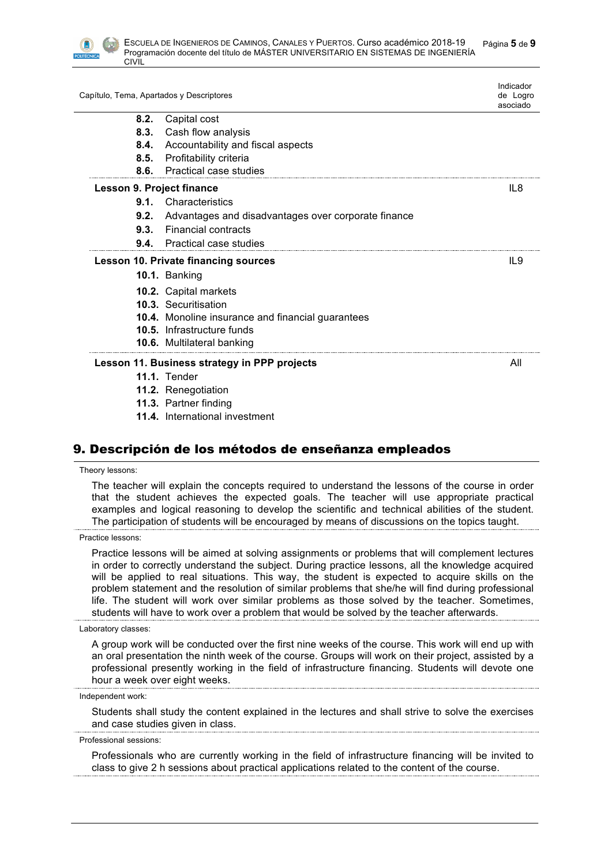

|                           | Capítulo, Tema, Apartados y Descriptores            | Indicador<br>de Logro<br>asociado |
|---------------------------|-----------------------------------------------------|-----------------------------------|
| 8.2.                      | Capital cost                                        |                                   |
| 8.3.                      | Cash flow analysis                                  |                                   |
| 8.4.                      | Accountability and fiscal aspects                   |                                   |
| 8.5.                      | Profitability criteria                              |                                   |
| 8.6.                      | Practical case studies                              |                                   |
| Lesson 9. Project finance |                                                     | IL8                               |
|                           | <b>9.1.</b> Characteristics                         |                                   |
| 9.2.                      | Advantages and disadvantages over corporate finance |                                   |
| 9.3.                      | <b>Financial contracts</b>                          |                                   |
| 9.4.                      | <b>Practical case studies</b>                       |                                   |
|                           | <b>Lesson 10. Private financing sources</b>         | IL9                               |
|                           | 10.1. Banking                                       |                                   |
|                           | 10.2. Capital markets                               |                                   |
|                           | 10.3. Securitisation                                |                                   |
|                           | 10.4. Monoline insurance and financial guarantees   |                                   |
|                           | 10.5. Infrastructure funds                          |                                   |
|                           | 10.6. Multilateral banking                          |                                   |
|                           | Lesson 11. Business strategy in PPP projects        | All                               |
|                           | <b>11.1.</b> Tender                                 |                                   |
|                           | 11.2. Renegotiation                                 |                                   |
|                           | 11.3. Partner finding                               |                                   |
|                           | <b>11.4.</b> International investment               |                                   |

## 9. Descripción de los métodos de enseñanza empleados

#### Theory lessons:

The teacher will explain the concepts required to understand the lessons of the course in order that the student achieves the expected goals. The teacher will use appropriate practical examples and logical reasoning to develop the scientific and technical abilities of the student. The participation of students will be encouraged by means of discussions on the topics taught.

#### Practice lessons:

Practice lessons will be aimed at solving assignments or problems that will complement lectures in order to correctly understand the subject. During practice lessons, all the knowledge acquired will be applied to real situations. This way, the student is expected to acquire skills on the problem statement and the resolution of similar problems that she/he will find during professional life. The student will work over similar problems as those solved by the teacher. Sometimes, students will have to work over a problem that would be solved by the teacher afterwards.

#### Laboratory classes:

A group work will be conducted over the first nine weeks of the course. This work will end up with an oral presentation the ninth week of the course. Groups will work on their project, assisted by a professional presently working in the field of infrastructure financing. Students will devote one hour a week over eight weeks.

#### Independent work:

Students shall study the content explained in the lectures and shall strive to solve the exercises and case studies given in class.

#### Professional sessions:

Professionals who are currently working in the field of infrastructure financing will be invited to class to give 2 h sessions about practical applications related to the content of the course.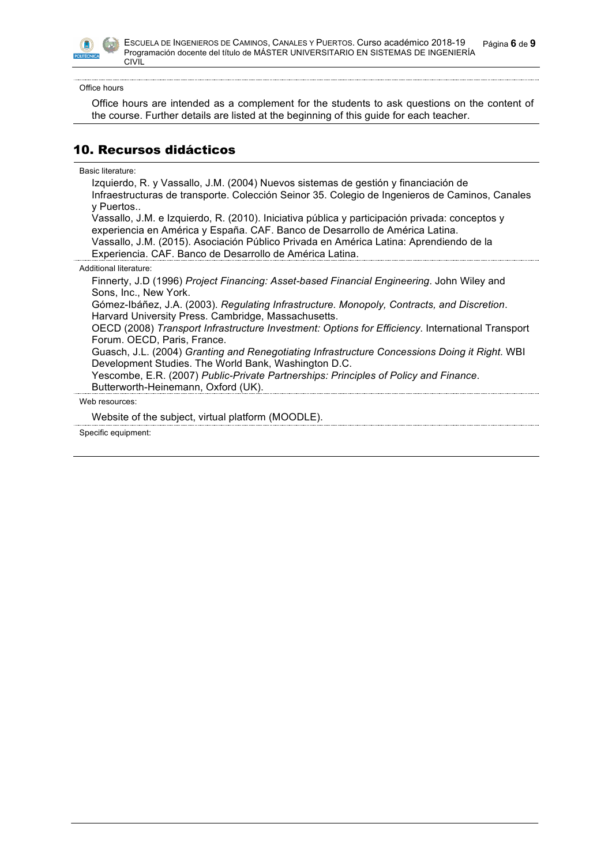

Office hours

> Office hours are intended as a complement for the students to ask questions on the content of the course. Further details are listed at the beginning of this guide for each teacher.

## 10. Recursos didácticos

### Basic literature:

| Izquierdo, R. y Vassallo, J.M. (2004) Nuevos sistemas de gestión y financiación de<br>Infraestructuras de transporte. Colección Seinor 35. Colegio de Ingenieros de Caminos, Canales<br>y Puertos |
|---------------------------------------------------------------------------------------------------------------------------------------------------------------------------------------------------|
| Vassallo, J.M. e Izquierdo, R. (2010). Iniciativa pública y participación privada: conceptos y                                                                                                    |
| experiencia en América y España. CAF. Banco de Desarrollo de América Latina.<br>Vassallo, J.M. (2015). Asociación Público Privada en América Latina: Aprendiendo de la                            |
| Experiencia. CAF. Banco de Desarrollo de América Latina.                                                                                                                                          |
| Additional literature:                                                                                                                                                                            |
| Finnerty, J.D (1996) Project Financing: Asset-based Financial Engineering. John Wiley and                                                                                                         |
| Sons, Inc., New York.                                                                                                                                                                             |
| Gómez-Ibáñez, J.A. (2003). Regulating Infrastructure. Monopoly, Contracts, and Discretion.<br>Harvard University Press. Cambridge, Massachusetts.                                                 |
| OECD (2008) Transport Infrastructure Investment: Options for Efficiency. International Transport<br>Forum. OECD, Paris, France.                                                                   |
| Guasch, J.L. (2004) Granting and Renegotiating Infrastructure Concessions Doing it Right. WBI<br>Development Studies. The World Bank, Washington D.C.                                             |
| Yescombe, E.R. (2007) Public-Private Partnerships: Principles of Policy and Finance.<br>Butterworth-Heinemann, Oxford (UK).                                                                       |
| Web resources:                                                                                                                                                                                    |
| Website of the subject, virtual platform (MOODLE).                                                                                                                                                |
| Specific equipment:                                                                                                                                                                               |
|                                                                                                                                                                                                   |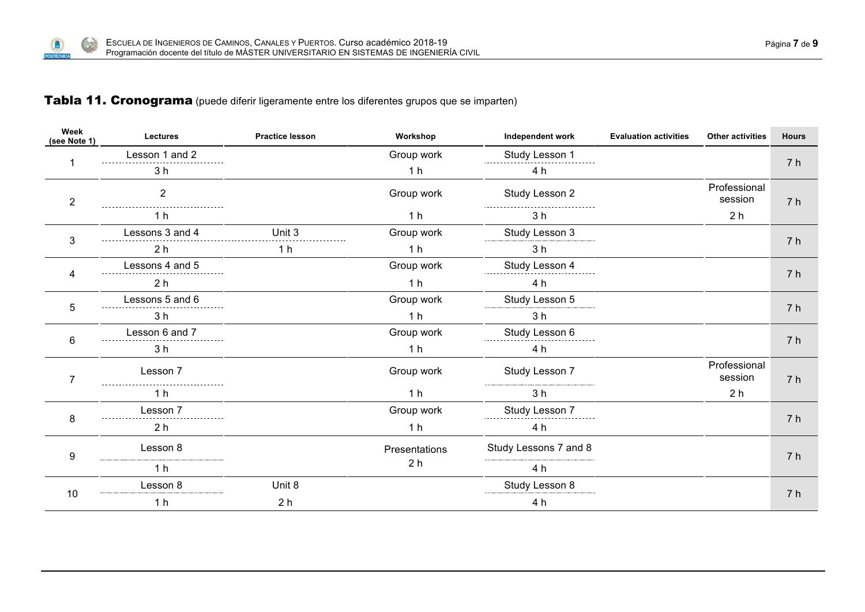## Tabla 11. Cronograma (puede diferir ligeramente entre los diferentes grupos que se imparten)

**A** 

Œ POLITÉCNIC

| Week<br>(see Note 1) | <b>Lectures</b>    | <b>Practice lesson</b> | Workshop       | Independent work      | <b>Evaluation activities</b> | <b>Other activities</b> | <b>Hours</b>   |
|----------------------|--------------------|------------------------|----------------|-----------------------|------------------------------|-------------------------|----------------|
|                      | Lesson 1 and 2<br> |                        | Group work     | Study Lesson 1        |                              |                         | 7 h            |
|                      | 3 <sub>h</sub>     |                        | 1 <sub>h</sub> | 4 h                   |                              |                         |                |
| $\boldsymbol{2}$     | $\overline{2}$     |                        | Group work     | Study Lesson 2        |                              | Professional<br>session | 7 <sub>h</sub> |
|                      | 1 h                |                        | 1 <sub>h</sub> | 3 h                   |                              | 2 <sub>h</sub>          |                |
| 3                    | Lessons 3 and 4    | Unit 3                 | Group work     | Study Lesson 3        |                              |                         |                |
|                      | 2 <sub>h</sub>     | 1 <sub>h</sub>         | 1 <sub>h</sub> | 3 <sub>h</sub>        |                              |                         | 7 h            |
|                      | Lessons 4 and 5    |                        | Group work     | Study Lesson 4        |                              |                         |                |
|                      | 2 <sub>h</sub>     |                        | 1 <sub>h</sub> | 4 h                   |                              |                         | 7 h            |
| 5                    | Lessons 5 and 6    |                        | Group work     | Study Lesson 5        |                              |                         |                |
|                      | 3 <sub>h</sub>     |                        | 1 <sub>h</sub> | 3 <sub>h</sub>        |                              |                         | 7 h            |
| 6                    | Lesson 6 and 7     |                        | Group work     | Study Lesson 6        |                              |                         | 7 h            |
|                      | 3 <sub>h</sub>     |                        | 1 <sub>h</sub> | 4 h                   |                              |                         |                |
| $\overline{7}$       | Lesson 7           |                        | Group work     | Study Lesson 7        |                              | Professional<br>session | 7 <sub>h</sub> |
|                      | 1 h                |                        | 1 <sub>h</sub> | 3 <sub>h</sub>        |                              | 2 <sub>h</sub>          |                |
|                      | Lesson 7           |                        | Group work     | Study Lesson 7        |                              |                         |                |
| 8                    | 2 <sub>h</sub>     |                        | 1 <sub>h</sub> | 4 h                   |                              |                         | 7 h            |
| 9                    | Lesson 8           |                        | Presentations  | Study Lessons 7 and 8 |                              |                         | 7 h            |
|                      | 1 h                |                        | 2 <sub>h</sub> | 4 h                   |                              |                         |                |
|                      | Lesson 8           | Unit 8                 |                | Study Lesson 8        |                              |                         |                |
| 10                   | 1 <sub>h</sub>     | 2 <sub>h</sub>         |                | 4 h                   |                              |                         | 7 h            |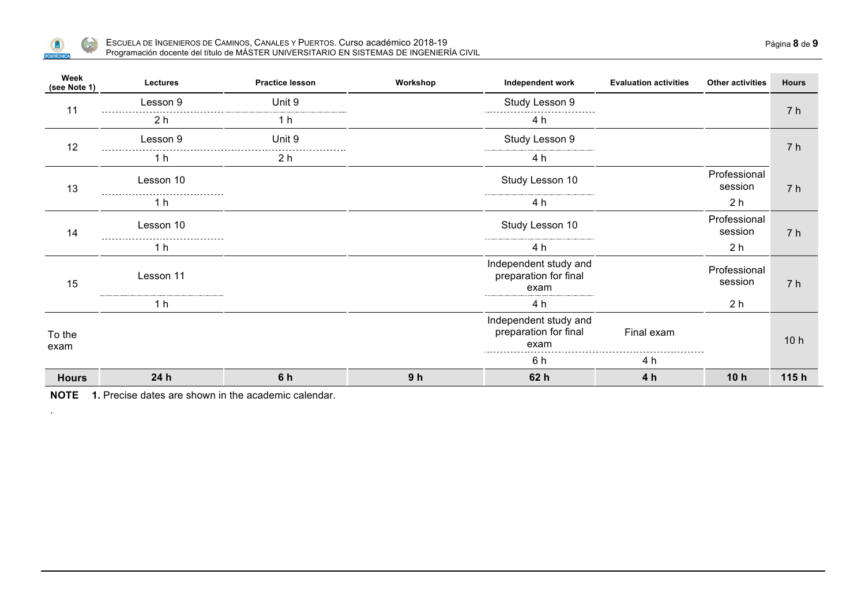

.

| Week<br>(see Note 1) | Lectures       | <b>Practice lesson</b> | Workshop       | Independent work                                       | <b>Evaluation activities</b> | <b>Other activities</b> | <b>Hours</b>    |
|----------------------|----------------|------------------------|----------------|--------------------------------------------------------|------------------------------|-------------------------|-----------------|
| 11                   | Lesson 9       | Unit 9                 |                | Study Lesson 9                                         |                              |                         | 7 h             |
|                      | 2 <sub>h</sub> | 1 h                    |                | 4 h                                                    |                              |                         |                 |
| 12                   | Lesson 9       | Unit 9                 |                | Study Lesson 9                                         |                              |                         | 7 h             |
|                      | 1 h            | 2 h                    |                | 4 h                                                    |                              |                         |                 |
| 13                   | Lesson 10      |                        |                | Study Lesson 10                                        |                              | Professional<br>session | 7 h             |
|                      | 1 h            |                        |                | 4 h                                                    |                              | 2 <sub>h</sub>          |                 |
| 14                   | Lesson 10      |                        |                | Study Lesson 10                                        |                              | Professional<br>session | 7 h             |
|                      | 1 h            |                        |                | 4 h                                                    |                              | 2 <sub>h</sub>          |                 |
| 15                   | Lesson 11      |                        |                | Independent study and<br>preparation for final<br>exam |                              | Professional<br>session | 7 h             |
|                      | 1 h            |                        |                | 4 h                                                    |                              | 2 <sub>h</sub>          |                 |
| To the<br>exam       |                |                        |                | Independent study and<br>preparation for final<br>exam | Final exam                   |                         | 10 <sub>h</sub> |
|                      |                |                        |                | 6 h                                                    | 4 h                          |                         |                 |
| <b>Hours</b>         | 24h            | 6 h                    | 9 <sub>h</sub> | 62 h                                                   | 4 h                          | 10h                     | 115h            |

**NOTE 1.** Precise dates are shown in the academic calendar.